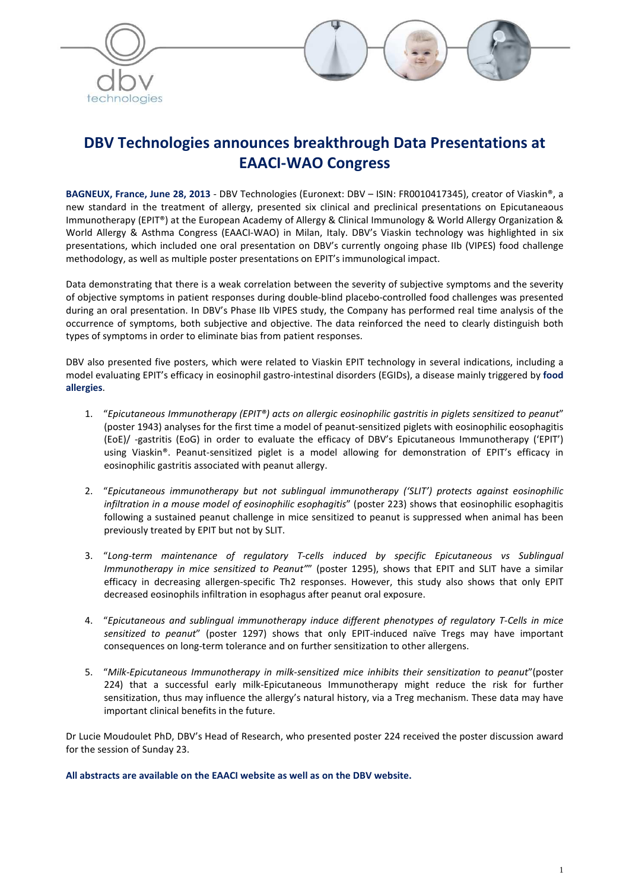



# **DBV Technologies announces breakthrough Data Presentations at EAACI-WAO Congress**

**BAGNEUX, France, June 28, 2013** - DBV Technologies (Euronext: DBV – ISIN: FR0010417345), creator of Viaskin®, a new standard in the treatment of allergy, presented six clinical and preclinical presentations on Epicutaneaous Immunotherapy (EPIT®) at the European Academy of Allergy & Clinical Immunology & World Allergy Organization & World Allergy & Asthma Congress (EAACI-WAO) in Milan, Italy. DBV's Viaskin technology was highlighted in six presentations, which included one oral presentation on DBV's currently ongoing phase IIb (VIPES) food challenge methodology, as well as multiple poster presentations on EPIT's immunological impact.

Data demonstrating that there is a weak correlation between the severity of subjective symptoms and the severity of objective symptoms in patient responses during double-blind placebo-controlled food challenges was presented during an oral presentation. In DBV's Phase IIb VIPES study, the Company has performed real time analysis of the occurrence of symptoms, both subjective and objective. The data reinforced the need to clearly distinguish both types of symptoms in order to eliminate bias from patient responses.

DBV also presented five posters, which were related to Viaskin EPIT technology in several indications, including a model evaluating EPIT's efficacy in eosinophil gastro-intestinal disorders (EGIDs), a disease mainly triggered by **food allergies**.

- 1. "*Epicutaneous Immunotherapy (EPIT®) acts on allergic eosinophilic gastritis in piglets sensitized to peanut*" (poster 1943) analyses for the first time a model of peanut-sensitized piglets with eosinophilic eosophagitis (EoE)/ -gastritis (EoG) in order to evaluate the efficacy of DBV's Epicutaneous Immunotherapy ('EPIT') using Viaskin®. Peanut-sensitized piglet is a model allowing for demonstration of EPIT's efficacy in eosinophilic gastritis associated with peanut allergy.
- 2. "*Epicutaneous immunotherapy but not sublingual immunotherapy ('SLIT') protects against eosinophilic infiltration in a mouse model of eosinophilic esophagitis*" (poster 223) shows that eosinophilic esophagitis following a sustained peanut challenge in mice sensitized to peanut is suppressed when animal has been previously treated by EPIT but not by SLIT.
- 3. "*Long-term maintenance of regulatory T-cells induced by specific Epicutaneous vs Sublingual Immunotherapy in mice sensitized to Peanut"*" (poster 1295), shows that EPIT and SLIT have a similar efficacy in decreasing allergen-specific Th2 responses. However, this study also shows that only EPIT decreased eosinophils infiltration in esophagus after peanut oral exposure.
- 4. "*Epicutaneous and sublingual immunotherapy induce different phenotypes of regulatory T-Cells in mice sensitized to peanut*" (poster 1297) shows that only EPIT-induced naïve Tregs may have important consequences on long-term tolerance and on further sensitization to other allergens.
- 5. "*Milk-Epicutaneous Immunotherapy in milk-sensitized mice inhibits their sensitization to peanut*"(poster 224) that a successful early milk-Epicutaneous Immunotherapy might reduce the risk for further sensitization, thus may influence the allergy's natural history, via a Treg mechanism. These data may have important clinical benefits in the future.

Dr Lucie Moudoulet PhD, DBV's Head of Research, who presented poster 224 received the poster discussion award for the session of Sunday 23.

**All abstracts are available on the EAACI website as well as on the DBV website.**